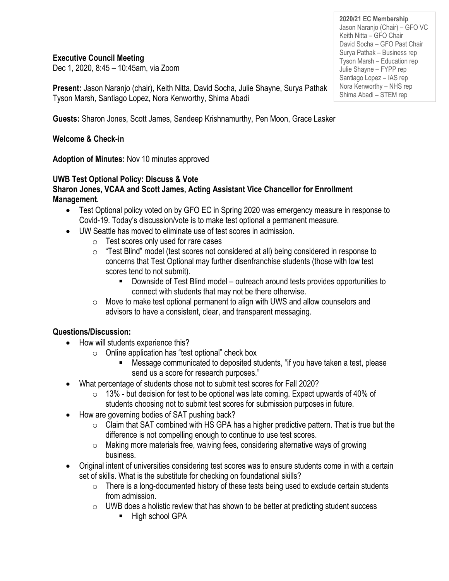### **Executive Council Meeting**

Dec 1, 2020, 8:45 – 10:45am, via Zoom

**Present:** Jason Naranjo (chair), Keith Nitta, David Socha, Julie Shayne, Surya Pathak Tyson Marsh, Santiago Lopez, Nora Kenworthy, Shima Abadi

**Guests:** Sharon Jones, Scott James, Sandeep Krishnamurthy, Pen Moon, Grace Lasker

### **Welcome & Check-in**

**Adoption of Minutes:** Nov 10 minutes approved

### **UWB Test Optional Policy: Discuss & Vote**

### **Sharon Jones, VCAA and Scott James, Acting Assistant Vice Chancellor for Enrollment Management.**

- Test Optional policy voted on by GFO EC in Spring 2020 was emergency measure in response to Covid-19. Today's discussion/vote is to make test optional a permanent measure.
- UW Seattle has moved to eliminate use of test scores in admission.
	- o Test scores only used for rare cases
	- $\circ$  "Test Blind" model (test scores not considered at all) being considered in response to concerns that Test Optional may further disenfranchise students (those with low test scores tend to not submit).
		- Downside of Test Blind model outreach around tests provides opportunities to connect with students that may not be there otherwise.
	- $\circ$  Move to make test optional permanent to align with UWS and allow counselors and advisors to have a consistent, clear, and transparent messaging.

### **Questions/Discussion:**

- How will students experience this?
	- o Online application has "test optional" check box
		- Message communicated to deposited students, "if you have taken a test, please send us a score for research purposes."
- What percentage of students chose not to submit test scores for Fall 2020?
	- $\circ$  13% but decision for test to be optional was late coming. Expect upwards of 40% of students choosing not to submit test scores for submission purposes in future.
- How are governing bodies of SAT pushing back?
	- $\circ$  Claim that SAT combined with HS GPA has a higher predictive pattern. That is true but the difference is not compelling enough to continue to use test scores.
	- o Making more materials free, waiving fees, considering alternative ways of growing business.
- Original intent of universities considering test scores was to ensure students come in with a certain set of skills. What is the substitute for checking on foundational skills?
	- $\circ$  There is a long-documented history of these tests being used to exclude certain students from admission.
	- $\circ$  UWB does a holistic review that has shown to be better at predicting student success
		- High school GPA

**2020/21 EC Membership** Jason Naranjo (Chair) – GFO VC Keith Nitta – GFO Chair David Socha – GFO Past Chair Surya Pathak – Business rep Tyson Marsh – Education rep Julie Shayne – FYPP rep Santiago Lopez – IAS rep Nora Kenworthy – NHS rep Shima Abadi – STEM rep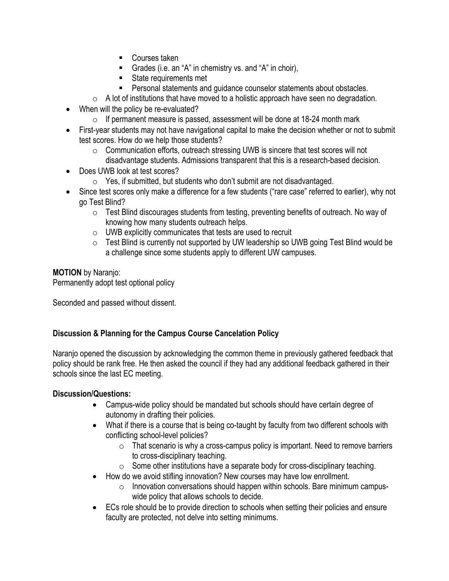- Courses taken
- Grades (i.e. an "A" in chemistry vs. and "A" in choir),
- State requirements met
- Personal statements and guidance counselor statements about obstacles.
- $\circ$  A lot of institutions that have moved to a holistic approach have seen no degradation.
- When will the policy be re-evaluated?
	- $\circ$  If permanent measure is passed, assessment will be done at 18-24 month mark
- First-year students may not have navigational capital to make the decision whether or not to submit test scores. How do we help those students?
	- o Communication efforts, outreach stressing UWB is sincere that test scores will not disadvantage students. Admissions transparent that this is a research-based decision.
- Does UWB look at test scores?
	- o Yes, if submitted, but students who don't submit are not disadvantaged.
- Since test scores only make a difference for a few students ("rare case" referred to earlier), why not go Test Blind?
	- $\circ$  Test Blind discourages students from testing, preventing benefits of outreach. No way of knowing how many students outreach helps.
	- o UWB explicitly communicates that tests are used to recruit
	- o Test Blind is currently not supported by UW leadership so UWB going Test Blind would be a challenge since some students apply to different UW campuses.

### **MOTION** by Naranjo:

Permanently adopt test optional policy

Seconded and passed without dissent.

# **Discussion & Planning for the Campus Course Cancelation Policy**

Naranjo opened the discussion by acknowledging the common theme in previously gathered feedback that policy should be rank free. He then asked the council if they had any additional feedback gathered in their schools since the last EC meeting.

### **Discussion/Questions:**

- Campus-wide policy should be mandated but schools should have certain degree of autonomy in drafting their policies.
- What if there is a course that is being co-taught by faculty from two different schools with conflicting school-level policies?
	- $\circ$  That scenario is why a cross-campus policy is important. Need to remove barriers to cross-disciplinary teaching.
	- $\circ$  Some other institutions have a separate body for cross-disciplinary teaching.
- How do we avoid stifling innovation? New courses may have low enrollment.
	- $\circ$  Innovation conversations should happen within schools. Bare minimum campuswide policy that allows schools to decide.
- ECs role should be to provide direction to schools when setting their policies and ensure faculty are protected, not delve into setting minimums.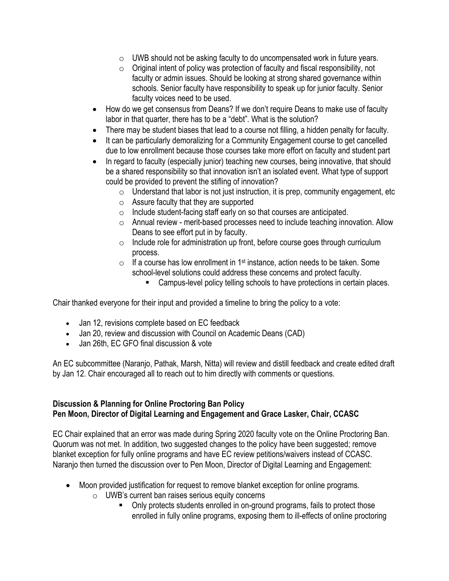- $\circ$  UWB should not be asking faculty to do uncompensated work in future years.
- o Original intent of policy was protection of faculty and fiscal responsibility, not faculty or admin issues. Should be looking at strong shared governance within schools. Senior faculty have responsibility to speak up for junior faculty. Senior faculty voices need to be used.
- How do we get consensus from Deans? If we don't require Deans to make use of faculty labor in that quarter, there has to be a "debt". What is the solution?
- There may be student biases that lead to a course not filling, a hidden penalty for faculty.
- It can be particularly demoralizing for a Community Engagement course to get cancelled due to low enrollment because those courses take more effort on faculty and student part
- In regard to faculty (especially junior) teaching new courses, being innovative, that should be a shared responsibility so that innovation isn't an isolated event. What type of support could be provided to prevent the stifling of innovation?
	- $\circ$  Understand that labor is not just instruction, it is prep, community engagement, etc
	- o Assure faculty that they are supported
	- o Include student-facing staff early on so that courses are anticipated.
	- o Annual review merit-based processes need to include teaching innovation. Allow Deans to see effort put in by faculty.
	- o Include role for administration up front, before course goes through curriculum process.
	- $\circ$  If a course has low enrollment in 1<sup>st</sup> instance, action needs to be taken. Some school-level solutions could address these concerns and protect faculty.
		- Campus-level policy telling schools to have protections in certain places.

Chair thanked everyone for their input and provided a timeline to bring the policy to a vote:

- Jan 12, revisions complete based on EC feedback
- Jan 20, review and discussion with Council on Academic Deans (CAD)
- Jan 26th, EC GFO final discussion & vote

An EC subcommittee (Naranjo, Pathak, Marsh, Nitta) will review and distill feedback and create edited draft by Jan 12. Chair encouraged all to reach out to him directly with comments or questions.

#### **Discussion & Planning for Online Proctoring Ban Policy Pen Moon, Director of Digital Learning and Engagement and Grace Lasker, Chair, CCASC**

EC Chair explained that an error was made during Spring 2020 faculty vote on the Online Proctoring Ban. Quorum was not met. In addition, two suggested changes to the policy have been suggested; remove blanket exception for fully online programs and have EC review petitions/waivers instead of CCASC. Naranjo then turned the discussion over to Pen Moon, Director of Digital Learning and Engagement:

- Moon provided justification for request to remove blanket exception for online programs.
	- o UWB's current ban raises serious equity concerns
		- Only protects students enrolled in on-ground programs, fails to protect those enrolled in fully online programs, exposing them to ill-effects of online proctoring